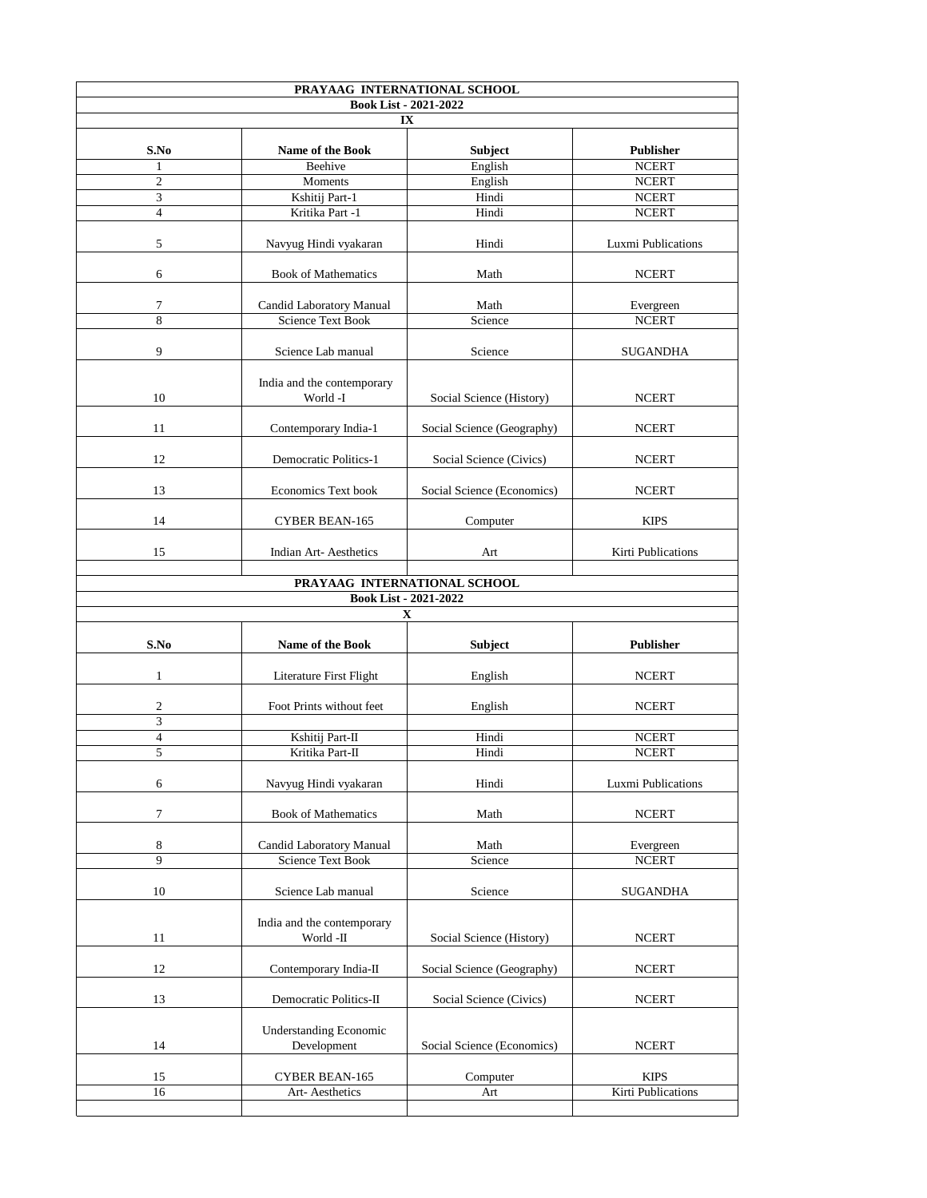| PRAYAAG INTERNATIONAL SCHOOL       |                                                             |                              |                           |  |  |  |
|------------------------------------|-------------------------------------------------------------|------------------------------|---------------------------|--|--|--|
| <b>Book List - 2021-2022</b><br>IX |                                                             |                              |                           |  |  |  |
| S.No                               | <b>Name of the Book</b>                                     | <b>Subject</b>               | <b>Publisher</b>          |  |  |  |
|                                    | Beehive                                                     | English                      | <b>NCERT</b>              |  |  |  |
| $\overline{2}$                     | <b>Moments</b>                                              | English                      | <b>NCERT</b>              |  |  |  |
| 3                                  | Kshitij Part-1                                              | Hindi                        | <b>NCERT</b>              |  |  |  |
| $\overline{4}$                     | Kritika Part -1                                             | Hindi                        | <b>NCERT</b>              |  |  |  |
| 5                                  | Navyug Hindi vyakaran                                       | Hindi                        | <b>Luxmi Publications</b> |  |  |  |
| 6                                  | <b>Book of Mathematics</b>                                  | Math                         | <b>NCERT</b>              |  |  |  |
| 7                                  |                                                             | Math                         |                           |  |  |  |
| 8                                  | <b>Candid Laboratory Manual</b><br><b>Science Text Book</b> | Science                      | Evergreen<br><b>NCERT</b> |  |  |  |
|                                    |                                                             |                              |                           |  |  |  |
| 9                                  | Science Lab manual                                          | Science                      | <b>SUGANDHA</b>           |  |  |  |
| 10                                 | India and the contemporary<br>World -I                      | Social Science (History)     | <b>NCERT</b>              |  |  |  |
| 11                                 | Contemporary India-1                                        | Social Science (Geography)   | <b>NCERT</b>              |  |  |  |
| 12                                 | <b>Democratic Politics-1</b>                                | Social Science (Civics)      | <b>NCERT</b>              |  |  |  |
| 13                                 | <b>Economics Text book</b>                                  | Social Science (Economics)   | <b>NCERT</b>              |  |  |  |
| 14                                 | <b>CYBER BEAN-165</b>                                       | Computer                     | <b>KIPS</b>               |  |  |  |
| 15                                 | <b>Indian Art-Aesthetics</b>                                | Art                          | <b>Kirti Publications</b> |  |  |  |
|                                    |                                                             | PRAYAAG INTERNATIONAL SCHOOL |                           |  |  |  |
|                                    |                                                             | <b>Book List - 2021-2022</b> |                           |  |  |  |
|                                    |                                                             | $\mathbf X$                  |                           |  |  |  |
| S.No                               | <b>Name of the Book</b>                                     | <b>Subject</b>               | <b>Publisher</b>          |  |  |  |
|                                    | Literature First Flight                                     | English                      | <b>NCERT</b>              |  |  |  |
| $\overline{2}$                     | Foot Prints without feet                                    | English                      | <b>NCERT</b>              |  |  |  |
| 3                                  |                                                             |                              |                           |  |  |  |
| 4                                  | Kshitij Part-II                                             | Hindi                        | <b>NCERT</b>              |  |  |  |
| 5                                  | Kritika Part-II                                             | Hindi                        | <b>NCERT</b>              |  |  |  |
| 6                                  | Navyug Hindi vyakaran                                       | Hindi                        | <b>Luxmi Publications</b> |  |  |  |
| 7                                  | <b>Book of Mathematics</b>                                  | Math                         | <b>NCERT</b>              |  |  |  |
|                                    |                                                             |                              |                           |  |  |  |
| 8<br>9                             | <b>Candid Laboratory Manual</b><br><b>Science Text Book</b> | Math<br>Science              | Evergreen<br><b>NCERT</b> |  |  |  |
|                                    |                                                             |                              |                           |  |  |  |
| 10                                 | Science Lab manual                                          | Science                      | <b>SUGANDHA</b>           |  |  |  |
| 11                                 | India and the contemporary<br>World -II                     | Social Science (History)     | <b>NCERT</b>              |  |  |  |
| 12                                 | Contemporary India-II                                       | Social Science (Geography)   | <b>NCERT</b>              |  |  |  |
| 13                                 | <b>Democratic Politics-II</b>                               | Social Science (Civics)      | <b>NCERT</b>              |  |  |  |
| 14                                 | <b>Understanding Economic</b><br>Development                | Social Science (Economics)   | <b>NCERT</b>              |  |  |  |
| 15                                 | <b>CYBER BEAN-165</b>                                       | Computer                     | <b>KIPS</b>               |  |  |  |
| 16                                 | Art-Aesthetics                                              | Art                          | <b>Kirti Publications</b> |  |  |  |
|                                    |                                                             |                              |                           |  |  |  |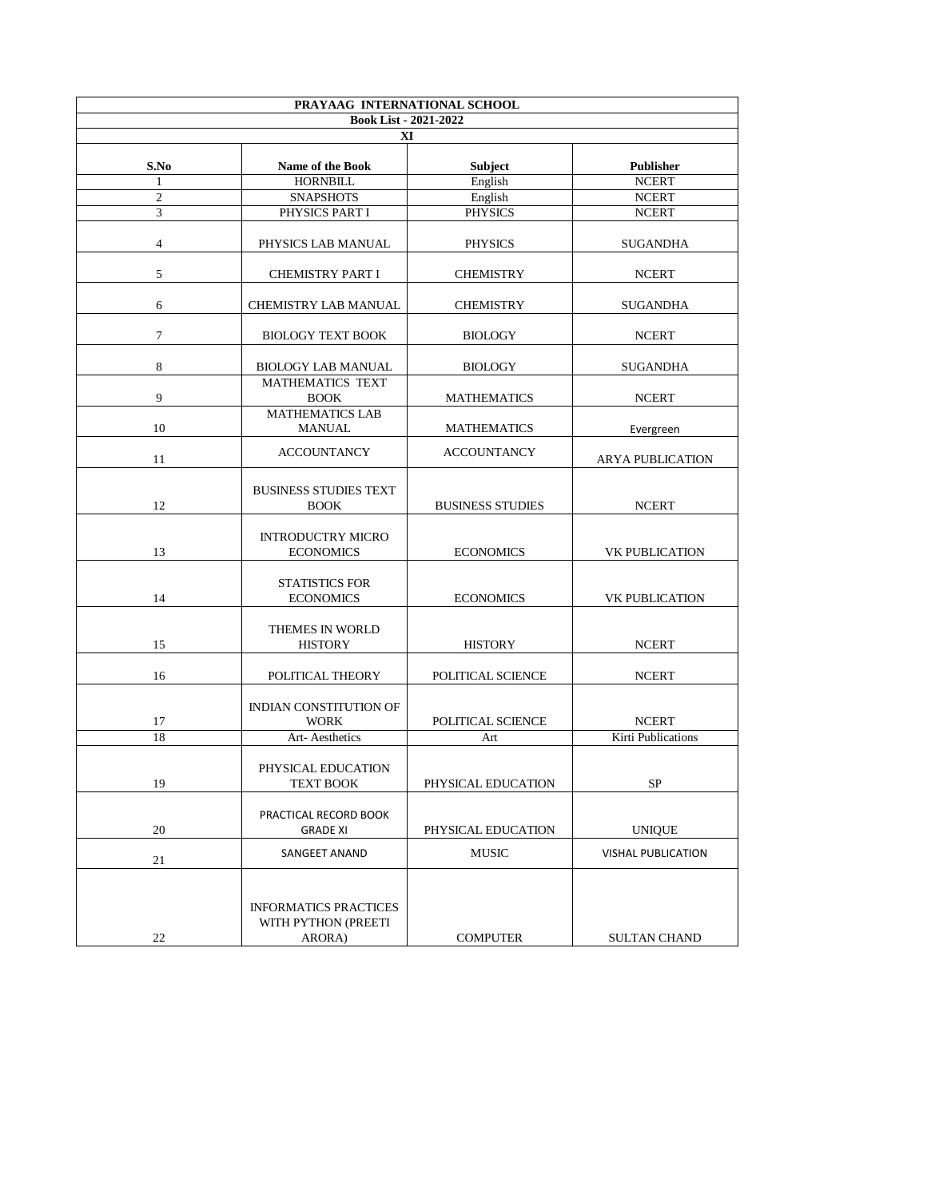| PRAYAAG INTERNATIONAL SCHOOL<br><b>Book List - 2021-2022</b><br>XI |                                                               |                         |                           |  |  |
|--------------------------------------------------------------------|---------------------------------------------------------------|-------------------------|---------------------------|--|--|
|                                                                    |                                                               |                         |                           |  |  |
|                                                                    | <b>HORNBILL</b>                                               | English                 | <b>NCERT</b>              |  |  |
| $\overline{2}$                                                     | <b>SNAPSHOTS</b>                                              | English                 | <b>NCERT</b>              |  |  |
| 3                                                                  | PHYSICS PART I                                                | <b>PHYSICS</b>          | <b>NCERT</b>              |  |  |
| 4                                                                  | PHYSICS LAB MANUAL                                            | <b>PHYSICS</b>          | <b>SUGANDHA</b>           |  |  |
| 5                                                                  | <b>CHEMISTRY PART I</b>                                       | <b>CHEMISTRY</b>        | <b>NCERT</b>              |  |  |
| 6                                                                  | <b>CHEMISTRY LAB MANUAL</b>                                   | <b>CHEMISTRY</b>        | <b>SUGANDHA</b>           |  |  |
| $\overline{7}$                                                     | <b>BIOLOGY TEXT BOOK</b>                                      | <b>BIOLOGY</b>          | <b>NCERT</b>              |  |  |
| 8                                                                  | <b>BIOLOGY LAB MANUAL</b>                                     | <b>BIOLOGY</b>          | <b>SUGANDHA</b>           |  |  |
| 9                                                                  | <b>MATHEMATICS TEXT</b><br><b>BOOK</b>                        | <b>MATHEMATICS</b>      | <b>NCERT</b>              |  |  |
| 10                                                                 | <b>MATHEMATICS LAB</b><br><b>MANUAL</b>                       | <b>MATHEMATICS</b>      | Evergreen                 |  |  |
| 11                                                                 | <b>ACCOUNTANCY</b>                                            | <b>ACCOUNTANCY</b>      | <b>ARYA PUBLICATION</b>   |  |  |
| 12                                                                 | <b>BUSINESS STUDIES TEXT</b><br><b>BOOK</b>                   | <b>BUSINESS STUDIES</b> | <b>NCERT</b>              |  |  |
| 13                                                                 | <b>INTRODUCTRY MICRO</b><br><b>ECONOMICS</b>                  | <b>ECONOMICS</b>        | <b>VK PUBLICATION</b>     |  |  |
| 14                                                                 | <b>STATISTICS FOR</b><br><b>ECONOMICS</b>                     | <b>ECONOMICS</b>        | <b>VK PUBLICATION</b>     |  |  |
| 15                                                                 | THEMES IN WORLD<br><b>HISTORY</b>                             | <b>HISTORY</b>          | <b>NCERT</b>              |  |  |
| 16                                                                 | POLITICAL THEORY                                              | POLITICAL SCIENCE       | <b>NCERT</b>              |  |  |
| 17                                                                 | <b>INDIAN CONSTITUTION OF</b><br><b>WORK</b>                  | POLITICAL SCIENCE       | <b>NCERT</b>              |  |  |
| 18                                                                 | Art-Aesthetics                                                | Art                     | <b>Kirti Publications</b> |  |  |
| 19                                                                 | PHYSICAL EDUCATION<br><b>TEXT BOOK</b>                        | PHYSICAL EDUCATION      | <b>SP</b>                 |  |  |
| 20                                                                 | PRACTICAL RECORD BOOK<br><b>GRADE XI</b>                      | PHYSICAL EDUCATION      | <b>UNIQUE</b>             |  |  |
| 21                                                                 | <b>SANGEET ANAND</b>                                          | <b>MUSIC</b>            | <b>VISHAL PUBLICATION</b> |  |  |
| 22                                                                 | <b>INFORMATICS PRACTICES</b><br>WITH PYTHON (PREETI<br>ARORA) | <b>COMPUTER</b>         | <b>SULTAN CHAND</b>       |  |  |